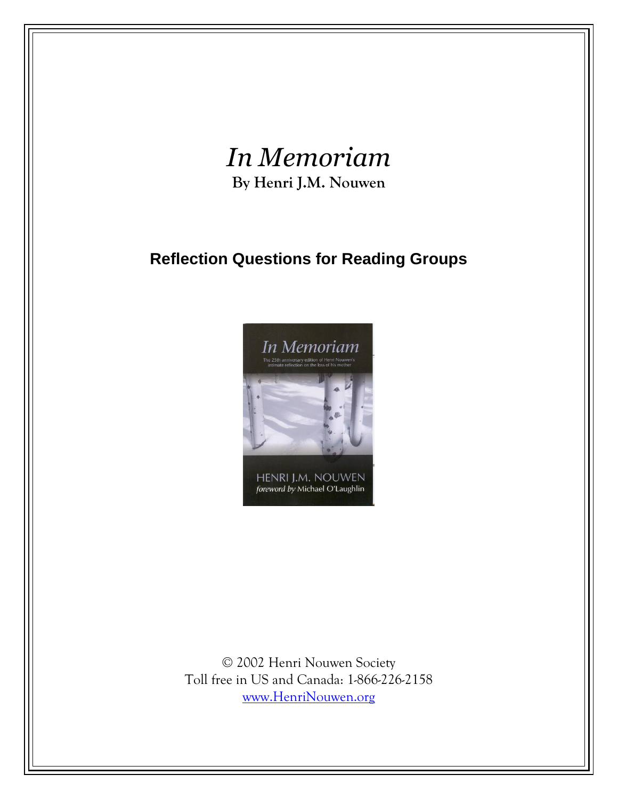## *In Memoriam* **By Henri J.M. Nouwen**

## **Reflection Questions for Reading Groups**



© 2002 Henri Nouwen Society Toll free in US and Canada: 1-866-226-2158 [www.HenriNouwen.org](http://www.henrinouwen.org/)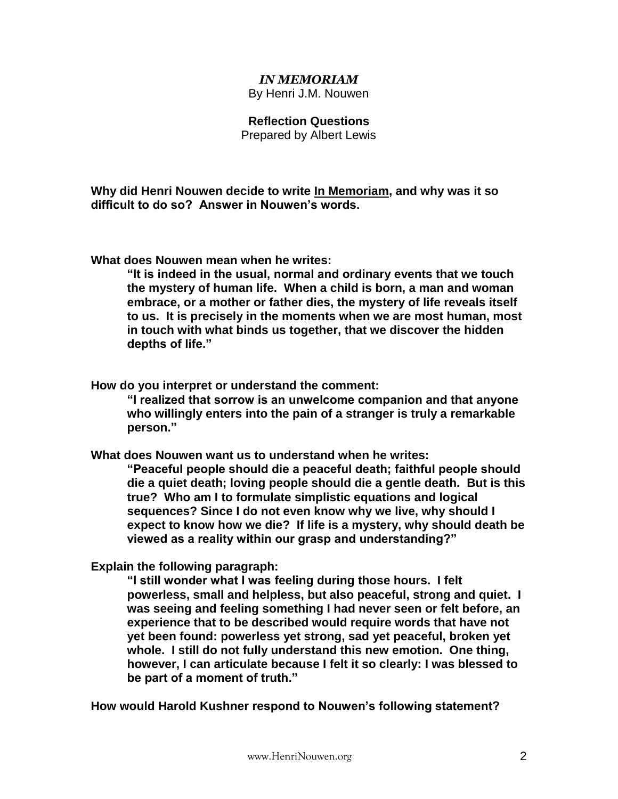## *IN MEMORIAM*

By Henri J.M. Nouwen

## **Reflection Questions**

Prepared by Albert Lewis

**Why did Henri Nouwen decide to write In Memoriam, and why was it so difficult to do so? Answer in Nouwen's words.**

**What does Nouwen mean when he writes:**

**"It is indeed in the usual, normal and ordinary events that we touch the mystery of human life. When a child is born, a man and woman embrace, or a mother or father dies, the mystery of life reveals itself to us. It is precisely in the moments when we are most human, most in touch with what binds us together, that we discover the hidden depths of life."**

**How do you interpret or understand the comment:**

**"I realized that sorrow is an unwelcome companion and that anyone who willingly enters into the pain of a stranger is truly a remarkable person."**

**What does Nouwen want us to understand when he writes:**

**"Peaceful people should die a peaceful death; faithful people should die a quiet death; loving people should die a gentle death. But is this true? Who am I to formulate simplistic equations and logical sequences? Since I do not even know why we live, why should I expect to know how we die? If life is a mystery, why should death be viewed as a reality within our grasp and understanding?"**

**Explain the following paragraph:**

**"I still wonder what I was feeling during those hours. I felt powerless, small and helpless, but also peaceful, strong and quiet. I was seeing and feeling something I had never seen or felt before, an experience that to be described would require words that have not yet been found: powerless yet strong, sad yet peaceful, broken yet whole. I still do not fully understand this new emotion. One thing, however, I can articulate because I felt it so clearly: I was blessed to be part of a moment of truth."** 

**How would Harold Kushner respond to Nouwen's following statement?**